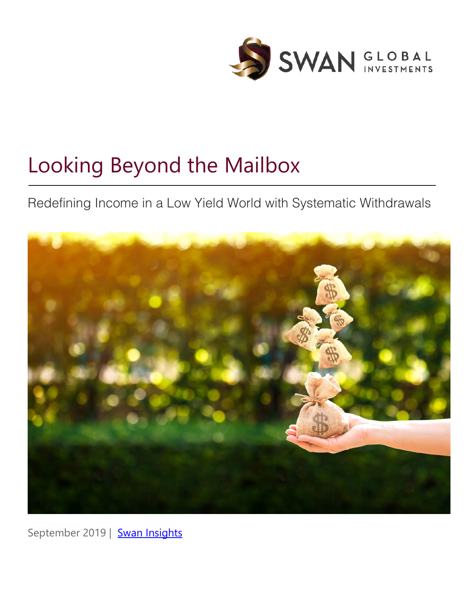

# Looking Beyond the Mailbox

Redefining Income in a Low Yield World with Systematic Withdrawals



September 2019 | [Swan Insights](http://swanglobalinvestments.com/blog/)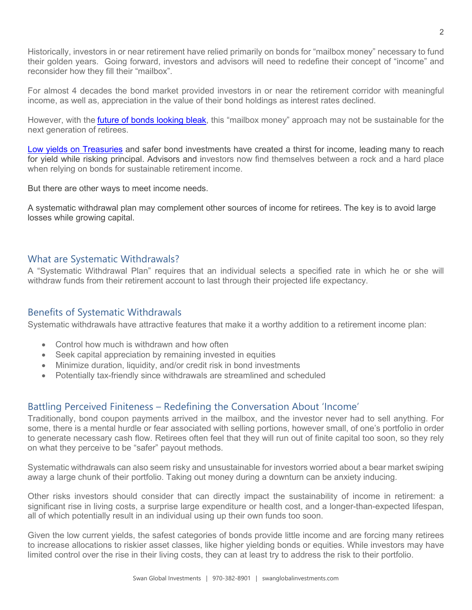Historically, investors in or near retirement have relied primarily on bonds for "mailbox money" necessary to fund their golden years. Going forward, investors and advisors will need to redefine their concept of "income" and reconsider how they fill their "mailbox".

For almost 4 decades the bond market provided investors in or near the retirement corridor with meaningful income, as well as, appreciation in the value of their bond holdings as interest rates declined.

However, with the **future of bonds looking bleak**, this "mailbox money" approach may not be sustainable for the next generation of retirees.

[Low yields on Treasuries](https://www.swanglobalinvestments.com/chasing-yield/) and safer bond investments have created a thirst for income, leading many to reach for yield while risking principal. Advisors and investors now find themselves between a rock and a hard place when relying on bonds for sustainable retirement income.

But there are other ways to meet income needs.

A systematic withdrawal plan may complement other sources of income for retirees. The key is to avoid large losses while growing capital.

#### What are Systematic Withdrawals?

A "Systematic Withdrawal Plan" requires that an individual selects a specified rate in which he or she will withdraw funds from their retirement account to last through their projected life expectancy.

## Benefits of Systematic Withdrawals

Systematic withdrawals have attractive features that make it a worthy addition to a retirement income plan:

- Control how much is withdrawn and how often
- Seek capital appreciation by remaining invested in equities
- Minimize duration, liquidity, and/or credit risk in bond investments
- Potentially tax-friendly since withdrawals are streamlined and scheduled

## Battling Perceived Finiteness – Redefining the Conversation About 'Income'

Traditionally, bond coupon payments arrived in the mailbox, and the investor never had to sell anything. For some, there is a mental hurdle or fear associated with selling portions, however small, of one's portfolio in order to generate necessary cash flow. Retirees often feel that they will run out of finite capital too soon, so they rely on what they perceive to be "safer" payout methods.

Systematic withdrawals can also seem risky and unsustainable for investors worried about a bear market swiping away a large chunk of their portfolio. Taking out money during a downturn can be anxiety inducing.

Other risks investors should consider that can directly impact the sustainability of income in retirement: a significant rise in living costs, a surprise large expenditure or health cost, and a longer-than-expected lifespan, all of which potentially result in an individual using up their own funds too soon.

Given the low current yields, the safest categories of bonds provide little income and are forcing many retirees to increase allocations to riskier asset classes, like higher yielding bonds or equities. While investors may have limited control over the rise in their living costs, they can at least try to address the risk to their portfolio.